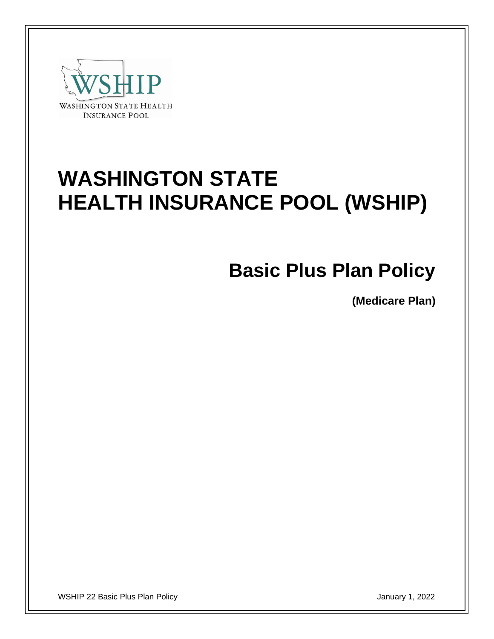

# **WASHINGTON STATE HEALTH INSURANCE POOL (WSHIP)**

# **Basic Plus Plan Policy**

**(Medicare Plan)**

WSHIP 22 Basic Plus Plan Policy January 1, 2022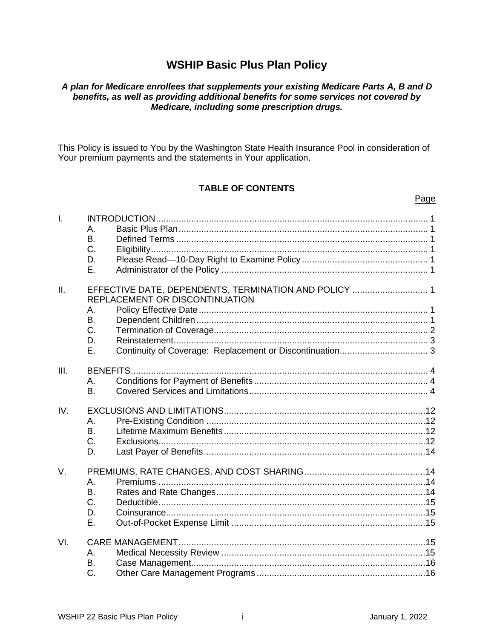# **WSHIP Basic Plus Plan Policy**

#### *A plan for Medicare enrollees that supplements your existing Medicare Parts A, B and D benefits, as well as providing additional benefits for some services not covered by Medicare, including some prescription drugs.*

This Policy is issued to You by the Washington State Health Insurance Pool in consideration of Your premium payments and the statements in Your application.

## **TABLE OF CONTENTS**

| $\mathbf{L}$ | $A_{1}$<br><b>B.</b><br>C.<br>D.<br>Ε. |                                                                                         |  |
|--------------|----------------------------------------|-----------------------------------------------------------------------------------------|--|
| II.          | Α.<br>B.<br>C.<br>D.<br>Ε.             | EFFECTIVE DATE, DEPENDENTS, TERMINATION AND POLICY  1<br>REPLACEMENT OR DISCONTINUATION |  |
| III.         | A.<br><b>B.</b>                        |                                                                                         |  |
| IV.          | Α.<br><b>B.</b><br>C.<br>D.            |                                                                                         |  |
| $V_{\cdot}$  | $A_{1}$<br><b>B.</b><br>C.<br>D.<br>Ε. |                                                                                         |  |
| VI.          | A.<br>В.<br>C.                         |                                                                                         |  |

Page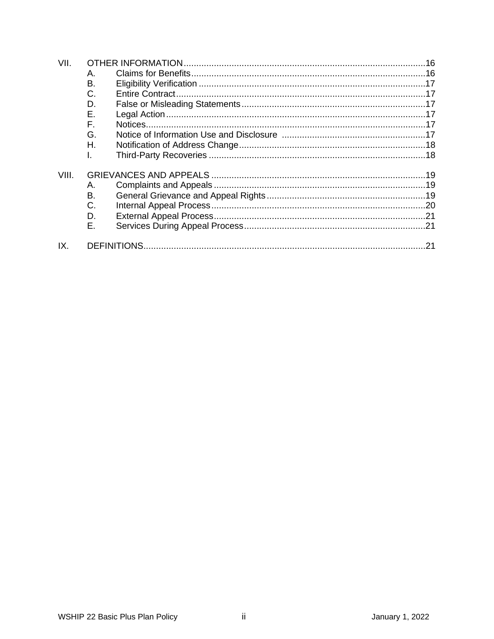| VII.  |    |  |  |
|-------|----|--|--|
|       | Α. |  |  |
|       | B. |  |  |
|       | C. |  |  |
|       | D. |  |  |
|       | Ε. |  |  |
|       | F. |  |  |
|       | G. |  |  |
|       | Η. |  |  |
|       | I. |  |  |
| VIII. |    |  |  |
|       | Α. |  |  |
|       | В. |  |  |
|       | C. |  |  |
|       | D. |  |  |
|       | Е. |  |  |
| IX.   |    |  |  |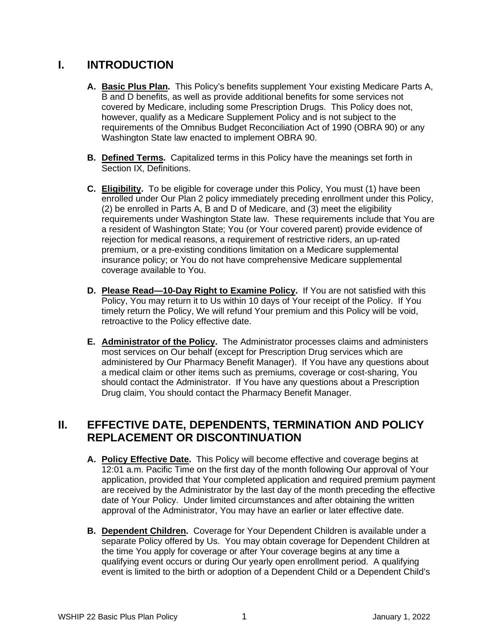# **I. INTRODUCTION**

- **A. Basic Plus Plan.** This Policy's benefits supplement Your existing Medicare Parts A, B and D benefits, as well as provide additional benefits for some services not covered by Medicare, including some Prescription Drugs. This Policy does not, however, qualify as a Medicare Supplement Policy and is not subject to the requirements of the Omnibus Budget Reconciliation Act of 1990 (OBRA 90) or any Washington State law enacted to implement OBRA 90.
- **B. Defined Terms.** Capitalized terms in this Policy have the meanings set forth in Section IX, Definitions.
- **C. Eligibility.** To be eligible for coverage under this Policy, You must (1) have been enrolled under Our Plan 2 policy immediately preceding enrollment under this Policy, (2) be enrolled in Parts A, B and D of Medicare, and (3) meet the eligibility requirements under Washington State law. These requirements include that You are a resident of Washington State; You (or Your covered parent) provide evidence of rejection for medical reasons, a requirement of restrictive riders, an up-rated premium, or a pre-existing conditions limitation on a Medicare supplemental insurance policy; or You do not have comprehensive Medicare supplemental coverage available to You.
- **D. Please Read—10-Day Right to Examine Policy.** If You are not satisfied with this Policy, You may return it to Us within 10 days of Your receipt of the Policy. If You timely return the Policy, We will refund Your premium and this Policy will be void, retroactive to the Policy effective date.
- **E. Administrator of the Policy.** The Administrator processes claims and administers most services on Our behalf (except for Prescription Drug services which are administered by Our Pharmacy Benefit Manager). If You have any questions about a medical claim or other items such as premiums, coverage or cost-sharing, You should contact the Administrator. If You have any questions about a Prescription Drug claim, You should contact the Pharmacy Benefit Manager.

# **II. EFFECTIVE DATE, DEPENDENTS, TERMINATION AND POLICY REPLACEMENT OR DISCONTINUATION**

- **A. Policy Effective Date.** This Policy will become effective and coverage begins at 12:01 a.m. Pacific Time on the first day of the month following Our approval of Your application, provided that Your completed application and required premium payment are received by the Administrator by the last day of the month preceding the effective date of Your Policy. Under limited circumstances and after obtaining the written approval of the Administrator, You may have an earlier or later effective date.
- **B. Dependent Children.** Coverage for Your Dependent Children is available under a separate Policy offered by Us. You may obtain coverage for Dependent Children at the time You apply for coverage or after Your coverage begins at any time a qualifying event occurs or during Our yearly open enrollment period. A qualifying event is limited to the birth or adoption of a Dependent Child or a Dependent Child's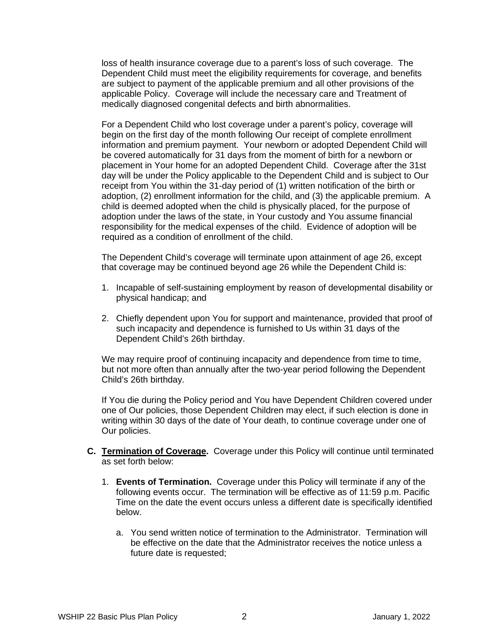loss of health insurance coverage due to a parent's loss of such coverage. The Dependent Child must meet the eligibility requirements for coverage, and benefits are subject to payment of the applicable premium and all other provisions of the applicable Policy. Coverage will include the necessary care and Treatment of medically diagnosed congenital defects and birth abnormalities.

For a Dependent Child who lost coverage under a parent's policy, coverage will begin on the first day of the month following Our receipt of complete enrollment information and premium payment. Your newborn or adopted Dependent Child will be covered automatically for 31 days from the moment of birth for a newborn or placement in Your home for an adopted Dependent Child. Coverage after the 31st day will be under the Policy applicable to the Dependent Child and is subject to Our receipt from You within the 31-day period of (1) written notification of the birth or adoption, (2) enrollment information for the child, and (3) the applicable premium. A child is deemed adopted when the child is physically placed, for the purpose of adoption under the laws of the state, in Your custody and You assume financial responsibility for the medical expenses of the child. Evidence of adoption will be required as a condition of enrollment of the child.

The Dependent Child's coverage will terminate upon attainment of age 26, except that coverage may be continued beyond age 26 while the Dependent Child is:

- 1. Incapable of self-sustaining employment by reason of developmental disability or physical handicap; and
- 2. Chiefly dependent upon You for support and maintenance, provided that proof of such incapacity and dependence is furnished to Us within 31 days of the Dependent Child's 26th birthday.

We may require proof of continuing incapacity and dependence from time to time, but not more often than annually after the two-year period following the Dependent Child's 26th birthday.

If You die during the Policy period and You have Dependent Children covered under one of Our policies, those Dependent Children may elect, if such election is done in writing within 30 days of the date of Your death, to continue coverage under one of Our policies.

- **C. Termination of Coverage.** Coverage under this Policy will continue until terminated as set forth below:
	- 1. **Events of Termination.** Coverage under this Policy will terminate if any of the following events occur. The termination will be effective as of 11:59 p.m. Pacific Time on the date the event occurs unless a different date is specifically identified below.
		- a. You send written notice of termination to the Administrator. Termination will be effective on the date that the Administrator receives the notice unless a future date is requested;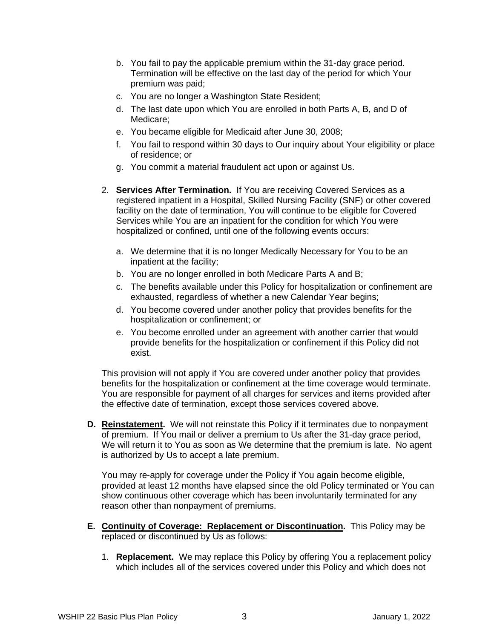- b. You fail to pay the applicable premium within the 31-day grace period. Termination will be effective on the last day of the period for which Your premium was paid;
- c. You are no longer a Washington State Resident;
- d. The last date upon which You are enrolled in both Parts A, B, and D of Medicare;
- e. You became eligible for Medicaid after June 30, 2008;
- f. You fail to respond within 30 days to Our inquiry about Your eligibility or place of residence; or
- g. You commit a material fraudulent act upon or against Us.
- 2. **Services After Termination.** If You are receiving Covered Services as a registered inpatient in a Hospital, Skilled Nursing Facility (SNF) or other covered facility on the date of termination, You will continue to be eligible for Covered Services while You are an inpatient for the condition for which You were hospitalized or confined, until one of the following events occurs:
	- a. We determine that it is no longer Medically Necessary for You to be an inpatient at the facility;
	- b. You are no longer enrolled in both Medicare Parts A and B;
	- c. The benefits available under this Policy for hospitalization or confinement are exhausted, regardless of whether a new Calendar Year begins;
	- d. You become covered under another policy that provides benefits for the hospitalization or confinement; or
	- e. You become enrolled under an agreement with another carrier that would provide benefits for the hospitalization or confinement if this Policy did not exist.

This provision will not apply if You are covered under another policy that provides benefits for the hospitalization or confinement at the time coverage would terminate. You are responsible for payment of all charges for services and items provided after the effective date of termination, except those services covered above.

**D. Reinstatement.** We will not reinstate this Policy if it terminates due to nonpayment of premium. If You mail or deliver a premium to Us after the 31-day grace period, We will return it to You as soon as We determine that the premium is late. No agent is authorized by Us to accept a late premium.

You may re-apply for coverage under the Policy if You again become eligible, provided at least 12 months have elapsed since the old Policy terminated or You can show continuous other coverage which has been involuntarily terminated for any reason other than nonpayment of premiums.

- **E. Continuity of Coverage: Replacement or Discontinuation.** This Policy may be replaced or discontinued by Us as follows:
	- 1. **Replacement.** We may replace this Policy by offering You a replacement policy which includes all of the services covered under this Policy and which does not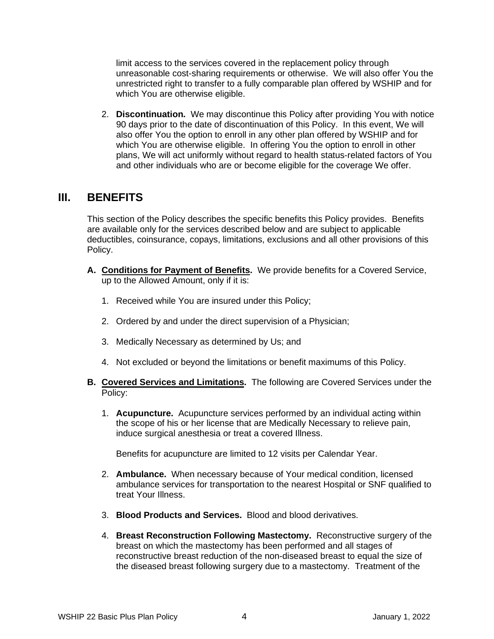limit access to the services covered in the replacement policy through unreasonable cost-sharing requirements or otherwise. We will also offer You the unrestricted right to transfer to a fully comparable plan offered by WSHIP and for which You are otherwise eligible.

2. **Discontinuation.** We may discontinue this Policy after providing You with notice 90 days prior to the date of discontinuation of this Policy. In this event, We will also offer You the option to enroll in any other plan offered by WSHIP and for which You are otherwise eligible. In offering You the option to enroll in other plans, We will act uniformly without regard to health status-related factors of You and other individuals who are or become eligible for the coverage We offer.

## **III. BENEFITS**

This section of the Policy describes the specific benefits this Policy provides. Benefits are available only for the services described below and are subject to applicable deductibles, coinsurance, copays, limitations, exclusions and all other provisions of this Policy.

- **A. Conditions for Payment of Benefits.** We provide benefits for a Covered Service, up to the Allowed Amount, only if it is:
	- 1. Received while You are insured under this Policy;
	- 2. Ordered by and under the direct supervision of a Physician;
	- 3. Medically Necessary as determined by Us; and
	- 4. Not excluded or beyond the limitations or benefit maximums of this Policy.
- **B. Covered Services and Limitations.** The following are Covered Services under the Policy:
	- 1. **Acupuncture.** Acupuncture services performed by an individual acting within the scope of his or her license that are Medically Necessary to relieve pain, induce surgical anesthesia or treat a covered Illness.

Benefits for acupuncture are limited to 12 visits per Calendar Year.

- 2. **Ambulance.** When necessary because of Your medical condition, licensed ambulance services for transportation to the nearest Hospital or SNF qualified to treat Your Illness.
- 3. **Blood Products and Services.** Blood and blood derivatives.
- 4. **Breast Reconstruction Following Mastectomy.** Reconstructive surgery of the breast on which the mastectomy has been performed and all stages of reconstructive breast reduction of the non-diseased breast to equal the size of the diseased breast following surgery due to a mastectomy. Treatment of the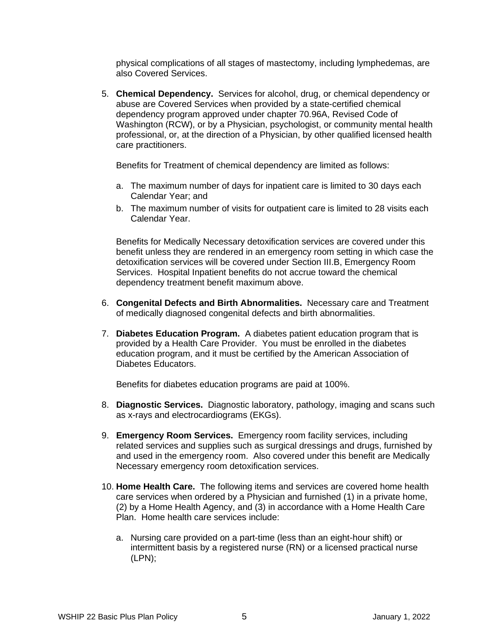physical complications of all stages of mastectomy, including lymphedemas, are also Covered Services.

5. **Chemical Dependency.** Services for alcohol, drug, or chemical dependency or abuse are Covered Services when provided by a state-certified chemical dependency program approved under chapter 70.96A, Revised Code of Washington (RCW), or by a Physician, psychologist, or community mental health professional, or, at the direction of a Physician, by other qualified licensed health care practitioners.

Benefits for Treatment of chemical dependency are limited as follows:

- a. The maximum number of days for inpatient care is limited to 30 days each Calendar Year; and
- b. The maximum number of visits for outpatient care is limited to 28 visits each Calendar Year.

Benefits for Medically Necessary detoxification services are covered under this benefit unless they are rendered in an emergency room setting in which case the detoxification services will be covered under Section III.B, Emergency Room Services. Hospital Inpatient benefits do not accrue toward the chemical dependency treatment benefit maximum above.

- 6. **Congenital Defects and Birth Abnormalities.** Necessary care and Treatment of medically diagnosed congenital defects and birth abnormalities.
- 7. **Diabetes Education Program.** A diabetes patient education program that is provided by a Health Care Provider. You must be enrolled in the diabetes education program, and it must be certified by the American Association of Diabetes Educators.

Benefits for diabetes education programs are paid at 100%.

- 8. **Diagnostic Services.** Diagnostic laboratory, pathology, imaging and scans such as x-rays and electrocardiograms (EKGs).
- 9. **Emergency Room Services.** Emergency room facility services, including related services and supplies such as surgical dressings and drugs, furnished by and used in the emergency room.Also covered under this benefit are Medically Necessary emergency room detoxification services.
- 10. **Home Health Care.** The following items and services are covered home health care services when ordered by a Physician and furnished (1) in a private home, (2) by a Home Health Agency, and (3) in accordance with a Home Health Care Plan. Home health care services include:
	- a. Nursing care provided on a part-time (less than an eight-hour shift) or intermittent basis by a registered nurse (RN) or a licensed practical nurse (LPN);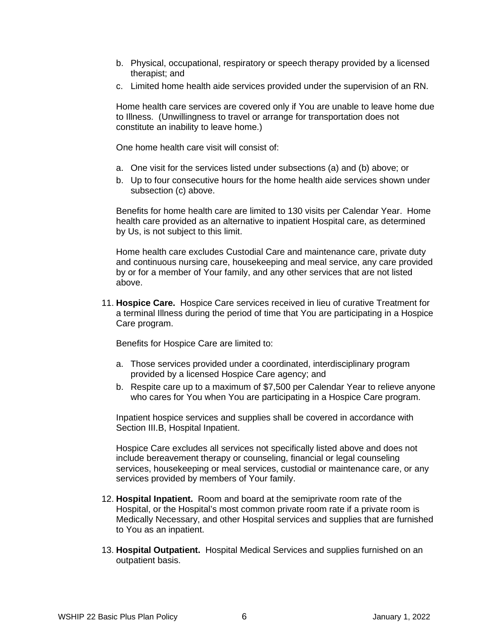- b. Physical, occupational, respiratory or speech therapy provided by a licensed therapist; and
- c. Limited home health aide services provided under the supervision of an RN.

Home health care services are covered only if You are unable to leave home due to Illness. (Unwillingness to travel or arrange for transportation does not constitute an inability to leave home.)

One home health care visit will consist of:

- a. One visit for the services listed under subsections (a) and (b) above; or
- b. Up to four consecutive hours for the home health aide services shown under subsection (c) above.

Benefits for home health care are limited to 130 visits per Calendar Year. Home health care provided as an alternative to inpatient Hospital care, as determined by Us, is not subject to this limit.

Home health care excludes Custodial Care and maintenance care, private duty and continuous nursing care, housekeeping and meal service, any care provided by or for a member of Your family, and any other services that are not listed above.

11. **Hospice Care.** Hospice Care services received in lieu of curative Treatment for a terminal Illness during the period of time that You are participating in a Hospice Care program.

Benefits for Hospice Care are limited to:

- a. Those services provided under a coordinated, interdisciplinary program provided by a licensed Hospice Care agency; and
- b. Respite care up to a maximum of \$7,500 per Calendar Year to relieve anyone who cares for You when You are participating in a Hospice Care program.

Inpatient hospice services and supplies shall be covered in accordance with Section III.B, Hospital Inpatient.

Hospice Care excludes all services not specifically listed above and does not include bereavement therapy or counseling, financial or legal counseling services, housekeeping or meal services, custodial or maintenance care, or any services provided by members of Your family.

- 12. **Hospital Inpatient.** Room and board at the semiprivate room rate of the Hospital, or the Hospital's most common private room rate if a private room is Medically Necessary, and other Hospital services and supplies that are furnished to You as an inpatient.
- 13. **Hospital Outpatient.** Hospital Medical Services and supplies furnished on an outpatient basis.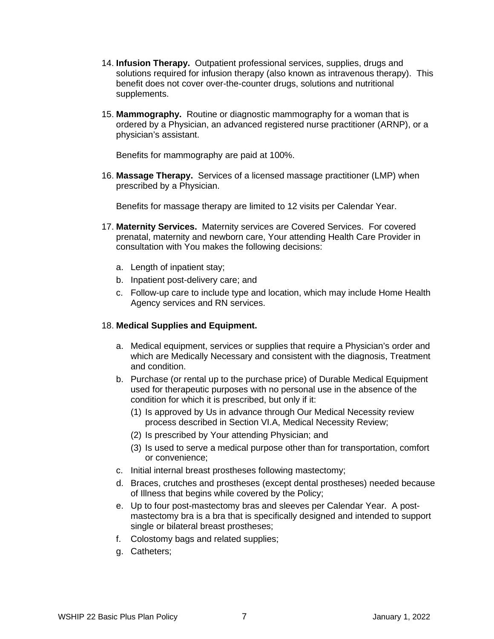- 14. **Infusion Therapy.** Outpatient professional services, supplies, drugs and solutions required for infusion therapy (also known as intravenous therapy).This benefit does not cover over-the-counter drugs, solutions and nutritional supplements.
- 15. **Mammography.** Routine or diagnostic mammography for a woman that is ordered by a Physician, an advanced registered nurse practitioner (ARNP), or a physician's assistant.

Benefits for mammography are paid at 100%.

16. **Massage Therapy.** Services of a licensed massage practitioner (LMP) when prescribed by a Physician.

Benefits for massage therapy are limited to 12 visits per Calendar Year.

- 17. **Maternity Services.** Maternity services are Covered Services. For covered prenatal, maternity and newborn care, Your attending Health Care Provider in consultation with You makes the following decisions:
	- a. Length of inpatient stay;
	- b. Inpatient post-delivery care; and
	- c. Follow-up care to include type and location, which may include Home Health Agency services and RN services.

#### 18. **Medical Supplies and Equipment.**

- a. Medical equipment, services or supplies that require a Physician's order and which are Medically Necessary and consistent with the diagnosis, Treatment and condition.
- b. Purchase (or rental up to the purchase price) of Durable Medical Equipment used for therapeutic purposes with no personal use in the absence of the condition for which it is prescribed, but only if it:
	- (1) Is approved by Us in advance through Our Medical Necessity review process described in Section VI.A, Medical Necessity Review;
	- (2) Is prescribed by Your attending Physician; and
	- (3) Is used to serve a medical purpose other than for transportation, comfort or convenience;
- c. Initial internal breast prostheses following mastectomy;
- d. Braces, crutches and prostheses (except dental prostheses) needed because of Illness that begins while covered by the Policy;
- e. Up to four post-mastectomy bras and sleeves per Calendar Year. A postmastectomy bra is a bra that is specifically designed and intended to support single or bilateral breast prostheses;
- f. Colostomy bags and related supplies;
- g. Catheters;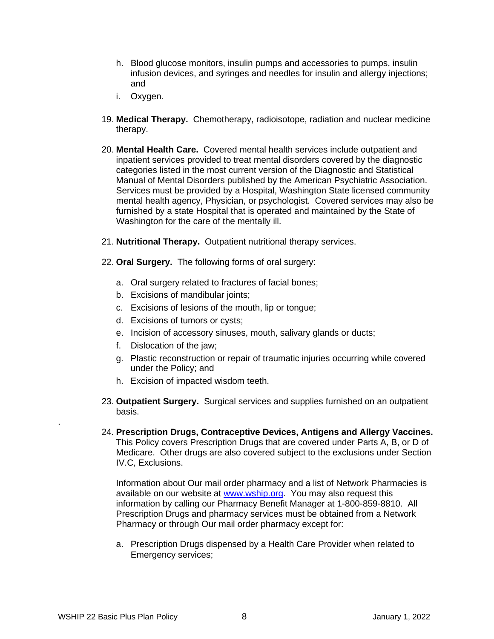- h. Blood glucose monitors, insulin pumps and accessories to pumps, insulin infusion devices, and syringes and needles for insulin and allergy injections; and
- i. Oxygen.
- 19. **Medical Therapy.** Chemotherapy, radioisotope, radiation and nuclear medicine therapy.
- 20. **Mental Health Care.** Covered mental health services include outpatient and inpatient services provided to treat mental disorders covered by the diagnostic categories listed in the most current version of the Diagnostic and Statistical Manual of Mental Disorders published by the American Psychiatric Association. Services must be provided by a Hospital, Washington State licensed community mental health agency, Physician, or psychologist. Covered services may also be furnished by a state Hospital that is operated and maintained by the State of Washington for the care of the mentally ill.
- 21. **Nutritional Therapy.** Outpatient nutritional therapy services.
- 22. **Oral Surgery.** The following forms of oral surgery:
	- a. Oral surgery related to fractures of facial bones;
	- b. Excisions of mandibular joints;
	- c. Excisions of lesions of the mouth, lip or tongue;
	- d. Excisions of tumors or cysts;
	- e. Incision of accessory sinuses, mouth, salivary glands or ducts;
	- f. Dislocation of the jaw;
	- g. Plastic reconstruction or repair of traumatic injuries occurring while covered under the Policy; and
	- h. Excision of impacted wisdom teeth.
- 23. **Outpatient Surgery.** Surgical services and supplies furnished on an outpatient basis.
- 24. **Prescription Drugs, Contraceptive Devices, Antigens and Allergy Vaccines.** This Policy covers Prescription Drugs that are covered under Parts A, B, or D of Medicare. Other drugs are also covered subject to the exclusions under Section IV.C, Exclusions.

Information about Our mail order pharmacy and a list of Network Pharmacies is available on our website at [www.wship.org.](http://www.wship.org/) You may also request this information by calling our Pharmacy Benefit Manager at 1-800-859-8810. All Prescription Drugs and pharmacy services must be obtained from a Network Pharmacy or through Our mail order pharmacy except for:

a. Prescription Drugs dispensed by a Health Care Provider when related to Emergency services;

.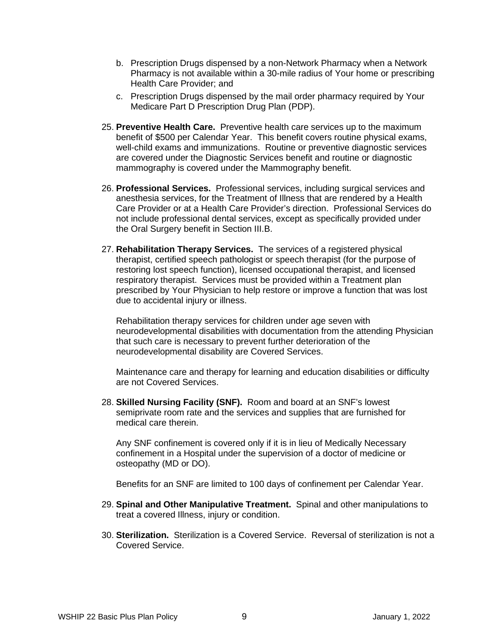- b. Prescription Drugs dispensed by a non-Network Pharmacy when a Network Pharmacy is not available within a 30-mile radius of Your home or prescribing Health Care Provider; and
- c. Prescription Drugs dispensed by the mail order pharmacy required by Your Medicare Part D Prescription Drug Plan (PDP).
- 25. **Preventive Health Care.** Preventive health care services up to the maximum benefit of \$500 per Calendar Year. This benefit covers routine physical exams, well-child exams and immunizations. Routine or preventive diagnostic services are covered under the Diagnostic Services benefit and routine or diagnostic mammography is covered under the Mammography benefit.
- 26. **Professional Services.** Professional services, including surgical services and anesthesia services, for the Treatment of Illness that are rendered by a Health Care Provider or at a Health Care Provider's direction. Professional Services do not include professional dental services, except as specifically provided under the Oral Surgery benefit in Section III.B.
- 27. **Rehabilitation Therapy Services.** The services of a registered physical therapist, certified speech pathologist or speech therapist (for the purpose of restoring lost speech function), licensed occupational therapist, and licensed respiratory therapist. Services must be provided within a Treatment plan prescribed by Your Physician to help restore or improve a function that was lost due to accidental injury or illness.

Rehabilitation therapy services for children under age seven with neurodevelopmental disabilities with documentation from the attending Physician that such care is necessary to prevent further deterioration of the neurodevelopmental disability are Covered Services.

Maintenance care and therapy for learning and education disabilities or difficulty are not Covered Services.

28. **Skilled Nursing Facility (SNF).** Room and board at an SNF's lowest semiprivate room rate and the services and supplies that are furnished for medical care therein.

Any SNF confinement is covered only if it is in lieu of Medically Necessary confinement in a Hospital under the supervision of a doctor of medicine or osteopathy (MD or DO).

Benefits for an SNF are limited to 100 days of confinement per Calendar Year.

- 29. **Spinal and Other Manipulative Treatment.** Spinal and other manipulations to treat a covered Illness, injury or condition.
- 30. **Sterilization.** Sterilization is a Covered Service. Reversal of sterilization is not a Covered Service.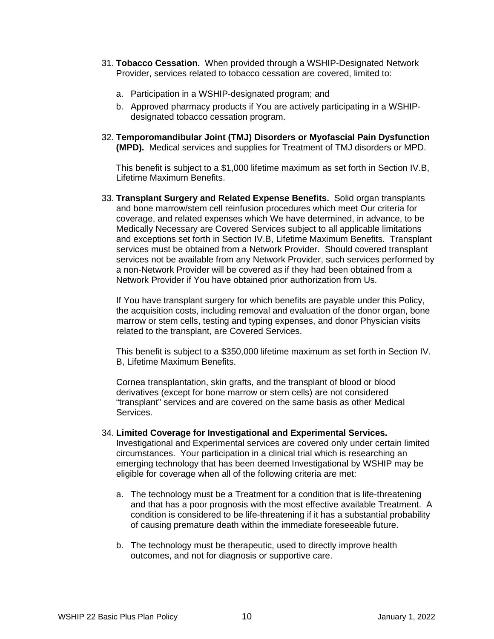- 31. **Tobacco Cessation.** When provided through a WSHIP-Designated Network Provider, services related to tobacco cessation are covered, limited to:
	- a. Participation in a WSHIP-designated program; and
	- b. Approved pharmacy products if You are actively participating in a WSHIPdesignated tobacco cessation program.
- 32. **Temporomandibular Joint (TMJ) Disorders or Myofascial Pain Dysfunction (MPD).** Medical services and supplies for Treatment of TMJ disorders or MPD.

This benefit is subject to a \$1,000 lifetime maximum as set forth in Section IV.B, Lifetime Maximum Benefits.

33. **Transplant Surgery and Related Expense Benefits.** Solid organ transplants and bone marrow/stem cell reinfusion procedures which meet Our criteria for coverage, and related expenses which We have determined, in advance, to be Medically Necessary are Covered Services subject to all applicable limitations and exceptions set forth in Section IV.B, Lifetime Maximum Benefits. Transplant services must be obtained from a Network Provider. Should covered transplant services not be available from any Network Provider, such services performed by a non-Network Provider will be covered as if they had been obtained from a Network Provider if You have obtained prior authorization from Us.

If You have transplant surgery for which benefits are payable under this Policy, the acquisition costs, including removal and evaluation of the donor organ, bone marrow or stem cells, testing and typing expenses, and donor Physician visits related to the transplant, are Covered Services.

This benefit is subject to a \$350,000 lifetime maximum as set forth in Section IV. B, Lifetime Maximum Benefits.

Cornea transplantation, skin grafts, and the transplant of blood or blood derivatives (except for bone marrow or stem cells) are not considered "transplant" services and are covered on the same basis as other Medical Services.

34. **Limited Coverage for Investigational and Experimental Services.** 

Investigational and Experimental services are covered only under certain limited circumstances. Your participation in a clinical trial which is researching an emerging technology that has been deemed Investigational by WSHIP may be eligible for coverage when all of the following criteria are met:

- a. The technology must be a Treatment for a condition that is life-threatening and that has a poor prognosis with the most effective available Treatment. A condition is considered to be life-threatening if it has a substantial probability of causing premature death within the immediate foreseeable future.
- b. The technology must be therapeutic, used to directly improve health outcomes, and not for diagnosis or supportive care.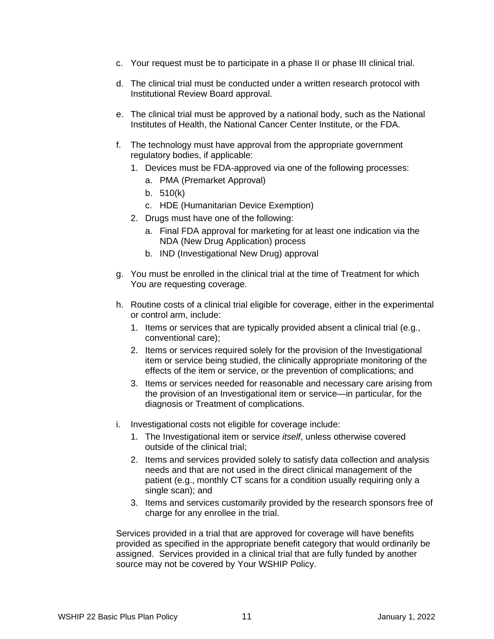- c. Your request must be to participate in a phase II or phase III clinical trial.
- d. The clinical trial must be conducted under a written research protocol with Institutional Review Board approval.
- e. The clinical trial must be approved by a national body, such as the National Institutes of Health, the National Cancer Center Institute, or the FDA.
- f. The technology must have approval from the appropriate government regulatory bodies, if applicable:
	- 1. Devices must be FDA-approved via one of the following processes:
		- a. PMA (Premarket Approval)
		- b. 510(k)
		- c. HDE (Humanitarian Device Exemption)
	- 2. Drugs must have one of the following:
		- a. Final FDA approval for marketing for at least one indication via the NDA (New Drug Application) process
		- b. IND (Investigational New Drug) approval
- g. You must be enrolled in the clinical trial at the time of Treatment for which You are requesting coverage.
- h. Routine costs of a clinical trial eligible for coverage, either in the experimental or control arm, include:
	- 1. Items or services that are typically provided absent a clinical trial (e.g., conventional care);
	- 2. Items or services required solely for the provision of the Investigational item or service being studied, the clinically appropriate monitoring of the effects of the item or service, or the prevention of complications; and
	- 3. Items or services needed for reasonable and necessary care arising from the provision of an Investigational item or service—in particular, for the diagnosis or Treatment of complications.
- i. Investigational costs not eligible for coverage include:
	- 1. The Investigational item or service *itself*, unless otherwise covered outside of the clinical trial;
	- 2. Items and services provided solely to satisfy data collection and analysis needs and that are not used in the direct clinical management of the patient (e.g., monthly CT scans for a condition usually requiring only a single scan); and
	- 3. Items and services customarily provided by the research sponsors free of charge for any enrollee in the trial.

Services provided in a trial that are approved for coverage will have benefits provided as specified in the appropriate benefit category that would ordinarily be assigned. Services provided in a clinical trial that are fully funded by another source may not be covered by Your WSHIP Policy.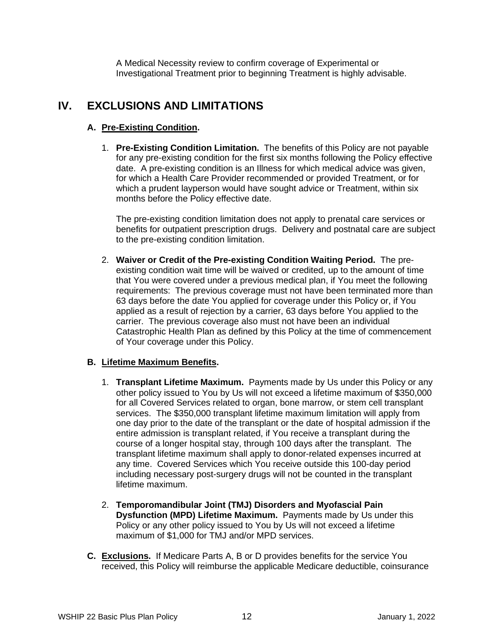A Medical Necessity review to confirm coverage of Experimental or Investigational Treatment prior to beginning Treatment is highly advisable.

# **IV. EXCLUSIONS AND LIMITATIONS**

## **A. Pre-Existing Condition.**

1. **Pre-Existing Condition Limitation.** The benefits of this Policy are not payable for any pre-existing condition for the first six months following the Policy effective date. A pre-existing condition is an Illness for which medical advice was given, for which a Health Care Provider recommended or provided Treatment, or for which a prudent layperson would have sought advice or Treatment, within six months before the Policy effective date.

The pre-existing condition limitation does not apply to prenatal care services or benefits for outpatient prescription drugs. Delivery and postnatal care are subject to the pre-existing condition limitation.

2. **Waiver or Credit of the Pre-existing Condition Waiting Period.** The preexisting condition wait time will be waived or credited, up to the amount of time that You were covered under a previous medical plan, if You meet the following requirements: The previous coverage must not have been terminated more than 63 days before the date You applied for coverage under this Policy or, if You applied as a result of rejection by a carrier, 63 days before You applied to the carrier. The previous coverage also must not have been an individual Catastrophic Health Plan as defined by this Policy at the time of commencement of Your coverage under this Policy.

## **B. Lifetime Maximum Benefits.**

- 1. **Transplant Lifetime Maximum.** Payments made by Us under this Policy or any other policy issued to You by Us will not exceed a lifetime maximum of \$350,000 for all Covered Services related to organ, bone marrow, or stem cell transplant services. The \$350,000 transplant lifetime maximum limitation will apply from one day prior to the date of the transplant or the date of hospital admission if the entire admission is transplant related, if You receive a transplant during the course of a longer hospital stay, through 100 days after the transplant. The transplant lifetime maximum shall apply to donor-related expenses incurred at any time. Covered Services which You receive outside this 100-day period including necessary post-surgery drugs will not be counted in the transplant lifetime maximum.
- 2. **Temporomandibular Joint (TMJ) Disorders and Myofascial Pain Dysfunction (MPD) Lifetime Maximum.** Payments made by Us under this Policy or any other policy issued to You by Us will not exceed a lifetime maximum of \$1,000 for TMJ and/or MPD services.
- **C. Exclusions.** If Medicare Parts A, B or D provides benefits for the service You received, this Policy will reimburse the applicable Medicare deductible, coinsurance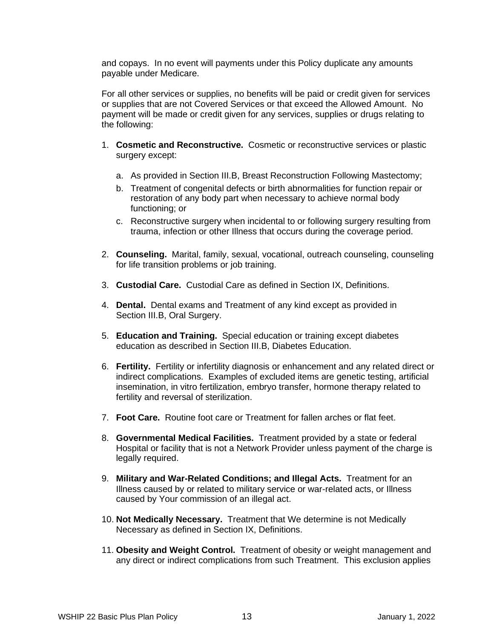and copays. In no event will payments under this Policy duplicate any amounts payable under Medicare.

For all other services or supplies, no benefits will be paid or credit given for services or supplies that are not Covered Services or that exceed the Allowed Amount. No payment will be made or credit given for any services, supplies or drugs relating to the following:

- 1. **Cosmetic and Reconstructive.** Cosmetic or reconstructive services or plastic surgery except:
	- a. As provided in Section III.B, Breast Reconstruction Following Mastectomy;
	- b. Treatment of congenital defects or birth abnormalities for function repair or restoration of any body part when necessary to achieve normal body functioning; or
	- c. Reconstructive surgery when incidental to or following surgery resulting from trauma, infection or other Illness that occurs during the coverage period.
- 2. **Counseling.** Marital, family, sexual, vocational, outreach counseling, counseling for life transition problems or job training.
- 3. **Custodial Care.** Custodial Care as defined in Section IX, Definitions.
- 4. **Dental.** Dental exams and Treatment of any kind except as provided in Section III.B, Oral Surgery.
- 5. **Education and Training.** Special education or training except diabetes education as described in Section III.B, Diabetes Education.
- 6. **Fertility.** Fertility or infertility diagnosis or enhancement and any related direct or indirect complications. Examples of excluded items are genetic testing, artificial insemination, in vitro fertilization, embryo transfer, hormone therapy related to fertility and reversal of sterilization.
- 7. **Foot Care.** Routine foot care or Treatment for fallen arches or flat feet.
- 8. **Governmental Medical Facilities.** Treatment provided by a state or federal Hospital or facility that is not a Network Provider unless payment of the charge is legally required.
- 9. **Military and War-Related Conditions; and Illegal Acts.** Treatment for an Illness caused by or related to military service or war-related acts, or Illness caused by Your commission of an illegal act.
- 10. **Not Medically Necessary.** Treatment that We determine is not Medically Necessary as defined in Section IX, Definitions.
- 11. **Obesity and Weight Control.** Treatment of obesity or weight management and any direct or indirect complications from such Treatment. This exclusion applies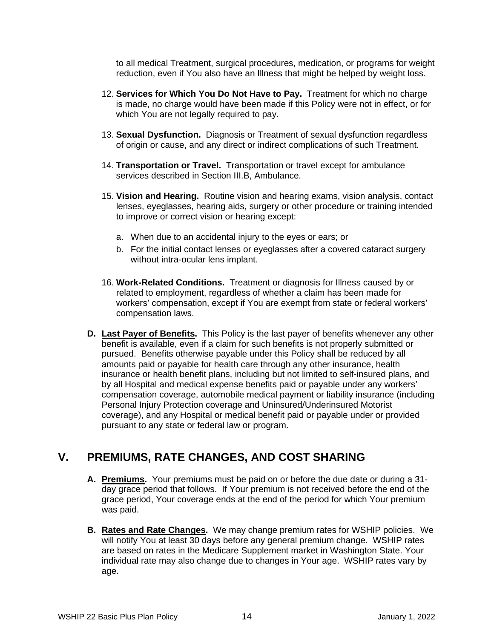to all medical Treatment, surgical procedures, medication, or programs for weight reduction, even if You also have an Illness that might be helped by weight loss.

- 12. **Services for Which You Do Not Have to Pay.** Treatment for which no charge is made, no charge would have been made if this Policy were not in effect, or for which You are not legally required to pay.
- 13. **Sexual Dysfunction.** Diagnosis or Treatment of sexual dysfunction regardless of origin or cause, and any direct or indirect complications of such Treatment.
- 14. **Transportation or Travel.** Transportation or travel except for ambulance services described in Section III.B, Ambulance.
- 15. **Vision and Hearing.** Routine vision and hearing exams, vision analysis, contact lenses, eyeglasses, hearing aids, surgery or other procedure or training intended to improve or correct vision or hearing except:
	- a. When due to an accidental injury to the eyes or ears; or
	- b. For the initial contact lenses or eyeglasses after a covered cataract surgery without intra-ocular lens implant.
- 16. **Work-Related Conditions.** Treatment or diagnosis for Illness caused by or related to employment, regardless of whether a claim has been made for workers' compensation, except if You are exempt from state or federal workers' compensation laws.
- **D. Last Payer of Benefits.** This Policy is the last payer of benefits whenever any other benefit is available, even if a claim for such benefits is not properly submitted or pursued. Benefits otherwise payable under this Policy shall be reduced by all amounts paid or payable for health care through any other insurance, health insurance or health benefit plans, including but not limited to self-insured plans, and by all Hospital and medical expense benefits paid or payable under any workers' compensation coverage, automobile medical payment or liability insurance (including Personal Injury Protection coverage and Uninsured/Underinsured Motorist coverage), and any Hospital or medical benefit paid or payable under or provided pursuant to any state or federal law or program.

# **V. PREMIUMS, RATE CHANGES, AND COST SHARING**

- **A. Premiums.** Your premiums must be paid on or before the due date or during a 31 day grace period that follows. If Your premium is not received before the end of the grace period, Your coverage ends at the end of the period for which Your premium was paid.
- **B. Rates and Rate Changes.** We may change premium rates for WSHIP policies. We will notify You at least 30 days before any general premium change. WSHIP rates are based on rates in the Medicare Supplement market in Washington State. Your individual rate may also change due to changes in Your age. WSHIP rates vary by age.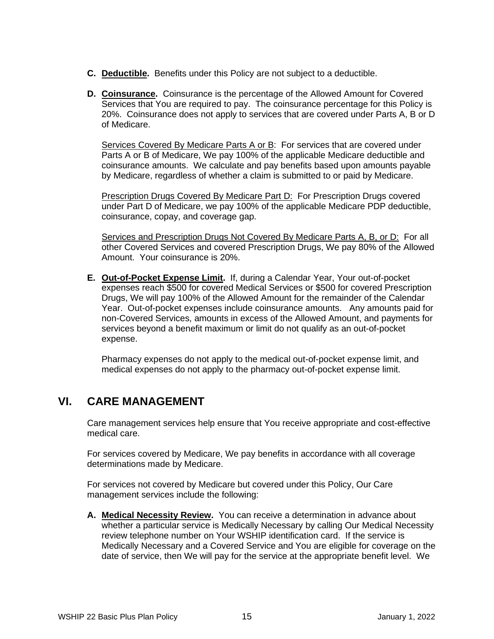- **C. Deductible.** Benefits under this Policy are not subject to a deductible.
- **D. Coinsurance.** Coinsurance is the percentage of the Allowed Amount for Covered Services that You are required to pay. The coinsurance percentage for this Policy is 20%. Coinsurance does not apply to services that are covered under Parts A, B or D of Medicare.

Services Covered By Medicare Parts A or B: For services that are covered under Parts A or B of Medicare, We pay 100% of the applicable Medicare deductible and coinsurance amounts. We calculate and pay benefits based upon amounts payable by Medicare, regardless of whether a claim is submitted to or paid by Medicare.

Prescription Drugs Covered By Medicare Part D: For Prescription Drugs covered under Part D of Medicare, we pay 100% of the applicable Medicare PDP deductible, coinsurance, copay, and coverage gap.

Services and Prescription Drugs Not Covered By Medicare Parts A, B, or D: For all other Covered Services and covered Prescription Drugs, We pay 80% of the Allowed Amount. Your coinsurance is 20%.

**E. Out-of-Pocket Expense Limit.** If, during a Calendar Year, Your out-of-pocket expenses reach \$500 for covered Medical Services or \$500 for covered Prescription Drugs, We will pay 100% of the Allowed Amount for the remainder of the Calendar Year. Out-of-pocket expenses include coinsurance amounts. Any amounts paid for non-Covered Services, amounts in excess of the Allowed Amount, and payments for services beyond a benefit maximum or limit do not qualify as an out-of-pocket expense.

Pharmacy expenses do not apply to the medical out-of-pocket expense limit, and medical expenses do not apply to the pharmacy out-of-pocket expense limit.

## **VI. CARE MANAGEMENT**

Care management services help ensure that You receive appropriate and cost-effective medical care.

For services covered by Medicare, We pay benefits in accordance with all coverage determinations made by Medicare.

For services not covered by Medicare but covered under this Policy, Our Care management services include the following:

**A. Medical Necessity Review.** You can receive a determination in advance about whether a particular service is Medically Necessary by calling Our Medical Necessity review telephone number on Your WSHIP identification card. If the service is Medically Necessary and a Covered Service and You are eligible for coverage on the date of service, then We will pay for the service at the appropriate benefit level. We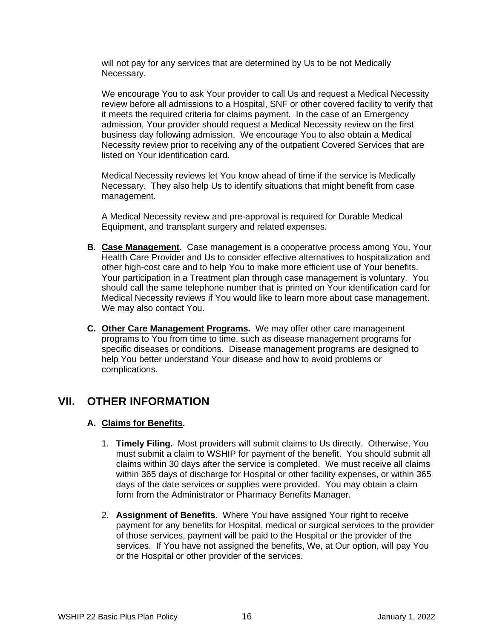will not pay for any services that are determined by Us to be not Medically Necessary.

We encourage You to ask Your provider to call Us and request a Medical Necessity review before all admissions to a Hospital, SNF or other covered facility to verify that it meets the required criteria for claims payment. In the case of an Emergency admission, Your provider should request a Medical Necessity review on the first business day following admission. We encourage You to also obtain a Medical Necessity review prior to receiving any of the outpatient Covered Services that are listed on Your identification card.

Medical Necessity reviews let You know ahead of time if the service is Medically Necessary. They also help Us to identify situations that might benefit from case management.

A Medical Necessity review and pre-approval is required for Durable Medical Equipment, and transplant surgery and related expenses.

- **B. Case Management.** Case management is a cooperative process among You, Your Health Care Provider and Us to consider effective alternatives to hospitalization and other high-cost care and to help You to make more efficient use of Your benefits. Your participation in a Treatment plan through case management is voluntary. You should call the same telephone number that is printed on Your identification card for Medical Necessity reviews if You would like to learn more about case management. We may also contact You.
- **C. Other Care Management Programs.** We may offer other care management programs to You from time to time, such as disease management programs for specific diseases or conditions. Disease management programs are designed to help You better understand Your disease and how to avoid problems or complications.

## **VII. OTHER INFORMATION**

## **A. Claims for Benefits.**

- 1. **Timely Filing.** Most providers will submit claims to Us directly. Otherwise, You must submit a claim to WSHIP for payment of the benefit. You should submit all claims within 30 days after the service is completed. We must receive all claims within 365 days of discharge for Hospital or other facility expenses, or within 365 days of the date services or supplies were provided. You may obtain a claim form from the Administrator or Pharmacy Benefits Manager.
- 2. **Assignment of Benefits.** Where You have assigned Your right to receive payment for any benefits for Hospital, medical or surgical services to the provider of those services, payment will be paid to the Hospital or the provider of the services. If You have not assigned the benefits, We, at Our option, will pay You or the Hospital or other provider of the services.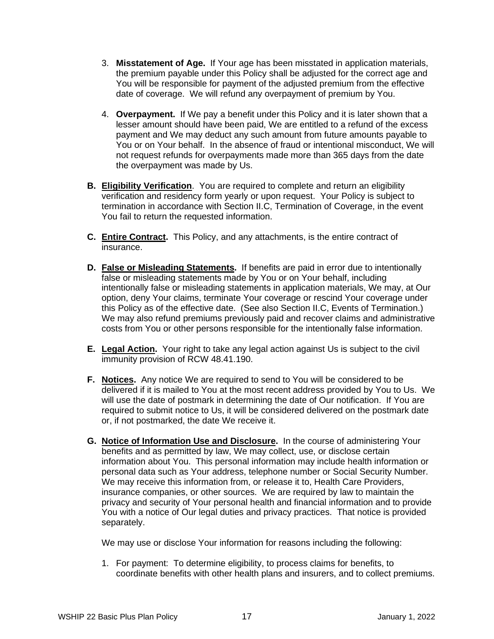- 3. **Misstatement of Age.** If Your age has been misstated in application materials, the premium payable under this Policy shall be adjusted for the correct age and You will be responsible for payment of the adjusted premium from the effective date of coverage. We will refund any overpayment of premium by You.
- 4. **Overpayment.** If We pay a benefit under this Policy and it is later shown that a lesser amount should have been paid, We are entitled to a refund of the excess payment and We may deduct any such amount from future amounts payable to You or on Your behalf. In the absence of fraud or intentional misconduct, We will not request refunds for overpayments made more than 365 days from the date the overpayment was made by Us.
- **B. Eligibility Verification**. You are required to complete and return an eligibility verification and residency form yearly or upon request. Your Policy is subject to termination in accordance with Section II.C, Termination of Coverage, in the event You fail to return the requested information.
- **C. Entire Contract.** This Policy, and any attachments, is the entire contract of insurance.
- **D. False or Misleading Statements.** If benefits are paid in error due to intentionally false or misleading statements made by You or on Your behalf, including intentionally false or misleading statements in application materials, We may, at Our option, deny Your claims, terminate Your coverage or rescind Your coverage under this Policy as of the effective date. (See also Section II.C, Events of Termination.) We may also refund premiums previously paid and recover claims and administrative costs from You or other persons responsible for the intentionally false information.
- **E. Legal Action.** Your right to take any legal action against Us is subject to the civil immunity provision of RCW 48.41.190.
- **F. Notices.** Any notice We are required to send to You will be considered to be delivered if it is mailed to You at the most recent address provided by You to Us. We will use the date of postmark in determining the date of Our notification. If You are required to submit notice to Us, it will be considered delivered on the postmark date or, if not postmarked, the date We receive it.
- **G. Notice of Information Use and Disclosure.** In the course of administering Your benefits and as permitted by law, We may collect, use, or disclose certain information about You. This personal information may include health information or personal data such as Your address, telephone number or Social Security Number. We may receive this information from, or release it to, Health Care Providers, insurance companies, or other sources. We are required by law to maintain the privacy and security of Your personal health and financial information and to provide You with a notice of Our legal duties and privacy practices. That notice is provided separately.

We may use or disclose Your information for reasons including the following:

1. For payment: To determine eligibility, to process claims for benefits, to coordinate benefits with other health plans and insurers, and to collect premiums.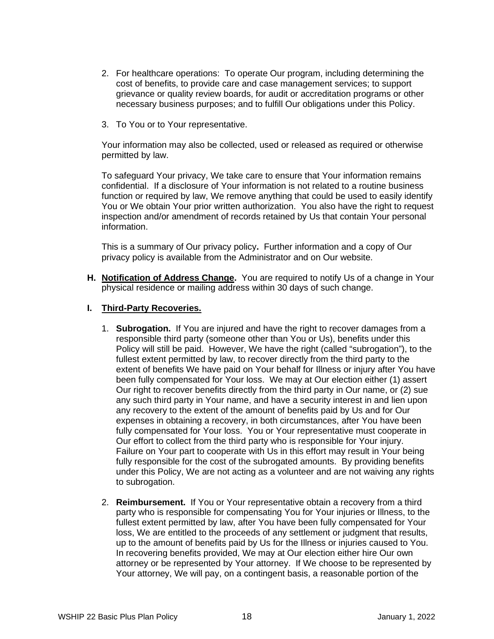- 2. For healthcare operations: To operate Our program, including determining the cost of benefits, to provide care and case management services; to support grievance or quality review boards, for audit or accreditation programs or other necessary business purposes; and to fulfill Our obligations under this Policy.
- 3. To You or to Your representative.

Your information may also be collected, used or released as required or otherwise permitted by law.

To safeguard Your privacy, We take care to ensure that Your information remains confidential. If a disclosure of Your information is not related to a routine business function or required by law, We remove anything that could be used to easily identify You or We obtain Your prior written authorization. You also have the right to request inspection and/or amendment of records retained by Us that contain Your personal information.

This is a summary of Our privacy policy**.** Further information and a copy of Our privacy policy is available from the Administrator and on Our website.

**H. Notification of Address Change.** You are required to notify Us of a change in Your physical residence or mailing address within 30 days of such change.

## **I. Third-Party Recoveries.**

- 1. **Subrogation.** If You are injured and have the right to recover damages from a responsible third party (someone other than You or Us), benefits under this Policy will still be paid. However, We have the right (called "subrogation"), to the fullest extent permitted by law, to recover directly from the third party to the extent of benefits We have paid on Your behalf for Illness or injury after You have been fully compensated for Your loss. We may at Our election either (1) assert Our right to recover benefits directly from the third party in Our name, or (2) sue any such third party in Your name, and have a security interest in and lien upon any recovery to the extent of the amount of benefits paid by Us and for Our expenses in obtaining a recovery, in both circumstances, after You have been fully compensated for Your loss. You or Your representative must cooperate in Our effort to collect from the third party who is responsible for Your injury. Failure on Your part to cooperate with Us in this effort may result in Your being fully responsible for the cost of the subrogated amounts. By providing benefits under this Policy, We are not acting as a volunteer and are not waiving any rights to subrogation.
- 2. **Reimbursement.** If You or Your representative obtain a recovery from a third party who is responsible for compensating You for Your injuries or Illness, to the fullest extent permitted by law, after You have been fully compensated for Your loss, We are entitled to the proceeds of any settlement or judgment that results, up to the amount of benefits paid by Us for the Illness or injuries caused to You. In recovering benefits provided, We may at Our election either hire Our own attorney or be represented by Your attorney. If We choose to be represented by Your attorney, We will pay, on a contingent basis, a reasonable portion of the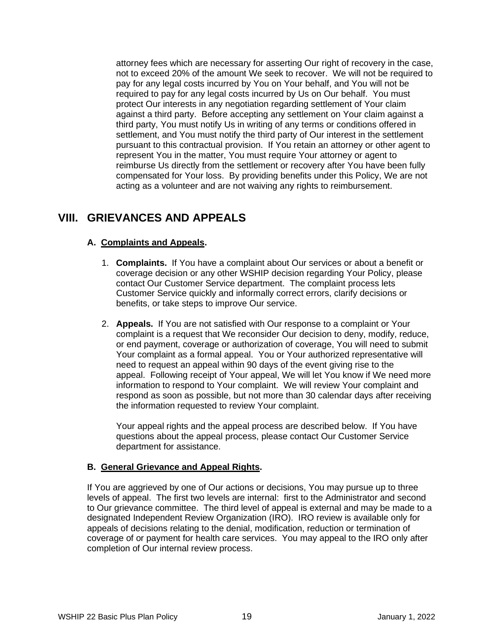attorney fees which are necessary for asserting Our right of recovery in the case, not to exceed 20% of the amount We seek to recover. We will not be required to pay for any legal costs incurred by You on Your behalf, and You will not be required to pay for any legal costs incurred by Us on Our behalf. You must protect Our interests in any negotiation regarding settlement of Your claim against a third party. Before accepting any settlement on Your claim against a third party, You must notify Us in writing of any terms or conditions offered in settlement, and You must notify the third party of Our interest in the settlement pursuant to this contractual provision. If You retain an attorney or other agent to represent You in the matter, You must require Your attorney or agent to reimburse Us directly from the settlement or recovery after You have been fully compensated for Your loss. By providing benefits under this Policy, We are not acting as a volunteer and are not waiving any rights to reimbursement.

# **VIII. GRIEVANCES AND APPEALS**

## **A. Complaints and Appeals.**

- 1. **Complaints.** If You have a complaint about Our services or about a benefit or coverage decision or any other WSHIP decision regarding Your Policy, please contact Our Customer Service department. The complaint process lets Customer Service quickly and informally correct errors, clarify decisions or benefits, or take steps to improve Our service.
- 2. **Appeals.** If You are not satisfied with Our response to a complaint or Your complaint is a request that We reconsider Our decision to deny, modify, reduce, or end payment, coverage or authorization of coverage, You will need to submit Your complaint as a formal appeal. You or Your authorized representative will need to request an appeal within 90 days of the event giving rise to the appeal. Following receipt of Your appeal, We will let You know if We need more information to respond to Your complaint. We will review Your complaint and respond as soon as possible, but not more than 30 calendar days after receiving the information requested to review Your complaint.

Your appeal rights and the appeal process are described below. If You have questions about the appeal process, please contact Our Customer Service department for assistance.

## **B. General Grievance and Appeal Rights.**

If You are aggrieved by one of Our actions or decisions, You may pursue up to three levels of appeal. The first two levels are internal: first to the Administrator and second to Our grievance committee. The third level of appeal is external and may be made to a designated Independent Review Organization (IRO). IRO review is available only for appeals of decisions relating to the denial, modification, reduction or termination of coverage of or payment for health care services. You may appeal to the IRO only after completion of Our internal review process.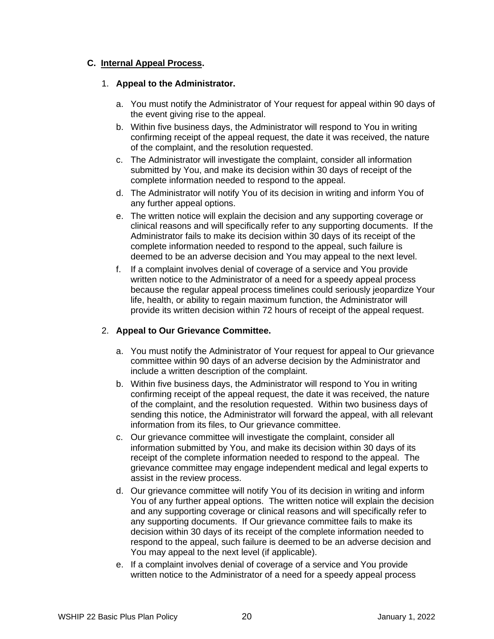## **C. Internal Appeal Process.**

#### 1. **Appeal to the Administrator.**

- a. You must notify the Administrator of Your request for appeal within 90 days of the event giving rise to the appeal.
- b. Within five business days, the Administrator will respond to You in writing confirming receipt of the appeal request, the date it was received, the nature of the complaint, and the resolution requested.
- c. The Administrator will investigate the complaint, consider all information submitted by You, and make its decision within 30 days of receipt of the complete information needed to respond to the appeal.
- d. The Administrator will notify You of its decision in writing and inform You of any further appeal options.
- e. The written notice will explain the decision and any supporting coverage or clinical reasons and will specifically refer to any supporting documents. If the Administrator fails to make its decision within 30 days of its receipt of the complete information needed to respond to the appeal, such failure is deemed to be an adverse decision and You may appeal to the next level.
- f. If a complaint involves denial of coverage of a service and You provide written notice to the Administrator of a need for a speedy appeal process because the regular appeal process timelines could seriously jeopardize Your life, health, or ability to regain maximum function, the Administrator will provide its written decision within 72 hours of receipt of the appeal request.

## 2. **Appeal to Our Grievance Committee.**

- a. You must notify the Administrator of Your request for appeal to Our grievance committee within 90 days of an adverse decision by the Administrator and include a written description of the complaint.
- b. Within five business days, the Administrator will respond to You in writing confirming receipt of the appeal request, the date it was received, the nature of the complaint, and the resolution requested. Within two business days of sending this notice, the Administrator will forward the appeal, with all relevant information from its files, to Our grievance committee.
- c. Our grievance committee will investigate the complaint, consider all information submitted by You, and make its decision within 30 days of its receipt of the complete information needed to respond to the appeal. The grievance committee may engage independent medical and legal experts to assist in the review process.
- d. Our grievance committee will notify You of its decision in writing and inform You of any further appeal options. The written notice will explain the decision and any supporting coverage or clinical reasons and will specifically refer to any supporting documents. If Our grievance committee fails to make its decision within 30 days of its receipt of the complete information needed to respond to the appeal, such failure is deemed to be an adverse decision and You may appeal to the next level (if applicable).
- e. If a complaint involves denial of coverage of a service and You provide written notice to the Administrator of a need for a speedy appeal process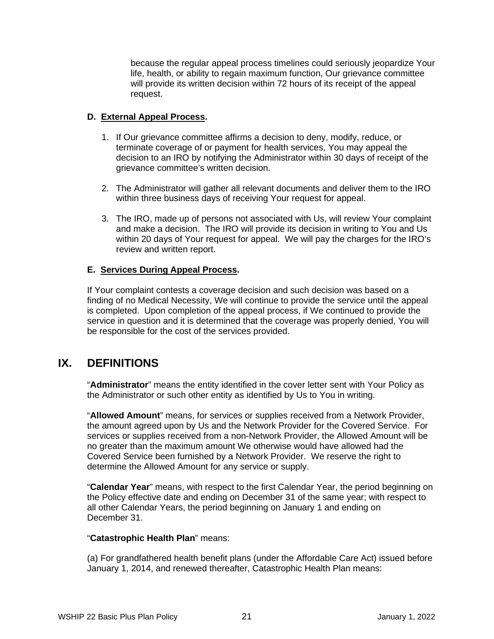because the regular appeal process timelines could seriously jeopardize Your life, health, or ability to regain maximum function, Our grievance committee will provide its written decision within 72 hours of its receipt of the appeal request.

## **D. External Appeal Process.**

- 1. If Our grievance committee affirms a decision to deny, modify, reduce, or terminate coverage of or payment for health services, You may appeal the decision to an IRO by notifying the Administrator within 30 days of receipt of the grievance committee's written decision.
- 2. The Administrator will gather all relevant documents and deliver them to the IRO within three business days of receiving Your request for appeal.
- 3. The IRO, made up of persons not associated with Us, will review Your complaint and make a decision. The IRO will provide its decision in writing to You and Us within 20 days of Your request for appeal. We will pay the charges for the IRO's review and written report.

## **E. Services During Appeal Process.**

If Your complaint contests a coverage decision and such decision was based on a finding of no Medical Necessity, We will continue to provide the service until the appeal is completed. Upon completion of the appeal process, if We continued to provide the service in question and it is determined that the coverage was properly denied, You will be responsible for the cost of the services provided.

# **IX. DEFINITIONS**

"**Administrator**" means the entity identified in the cover letter sent with Your Policy as the Administrator or such other entity as identified by Us to You in writing.

"**Allowed Amount**" means, for services or supplies received from a Network Provider, the amount agreed upon by Us and the Network Provider for the Covered Service. For services or supplies received from a non-Network Provider, the Allowed Amount will be no greater than the maximum amount We otherwise would have allowed had the Covered Service been furnished by a Network Provider. We reserve the right to determine the Allowed Amount for any service or supply.

"**Calendar Year**" means, with respect to the first Calendar Year, the period beginning on the Policy effective date and ending on December 31 of the same year; with respect to all other Calendar Years, the period beginning on January 1 and ending on December 31.

## "**Catastrophic Health Plan**" means:

(a) For grandfathered health benefit plans (under the Affordable Care Act) issued before January 1, 2014, and renewed thereafter, Catastrophic Health Plan means: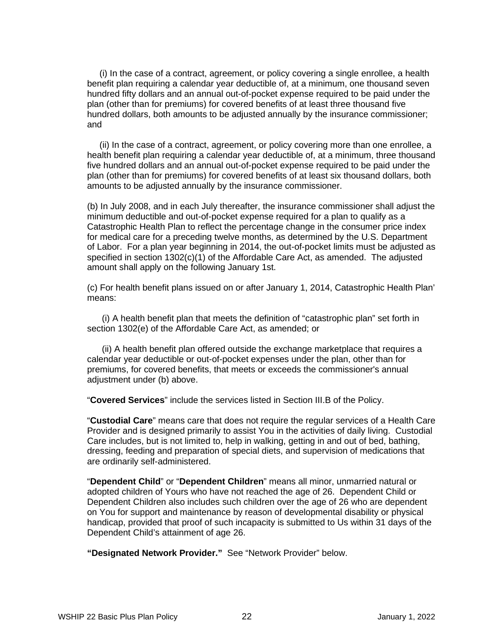(i) In the case of a contract, agreement, or policy covering a single enrollee, a health benefit plan requiring a calendar year deductible of, at a minimum, one thousand seven hundred fifty dollars and an annual out-of-pocket expense required to be paid under the plan (other than for premiums) for covered benefits of at least three thousand five hundred dollars, both amounts to be adjusted annually by the insurance commissioner; and

 (ii) In the case of a contract, agreement, or policy covering more than one enrollee, a health benefit plan requiring a calendar year deductible of, at a minimum, three thousand five hundred dollars and an annual out-of-pocket expense required to be paid under the plan (other than for premiums) for covered benefits of at least six thousand dollars, both amounts to be adjusted annually by the insurance commissioner.

(b) In July 2008, and in each July thereafter, the insurance commissioner shall adjust the minimum deductible and out-of-pocket expense required for a plan to qualify as a Catastrophic Health Plan to reflect the percentage change in the consumer price index for medical care for a preceding twelve months, as determined by the U.S. Department of Labor. For a plan year beginning in 2014, the out-of-pocket limits must be adjusted as specified in section  $1302(c)(1)$  of the Affordable Care Act, as amended. The adjusted amount shall apply on the following January 1st.

(c) For health benefit plans issued on or after January 1, 2014, Catastrophic Health Plan' means:

 (i) A health benefit plan that meets the definition of "catastrophic plan" set forth in section 1302(e) of the Affordable Care Act, as amended; or

 (ii) A health benefit plan offered outside the exchange marketplace that requires a calendar year deductible or out-of-pocket expenses under the plan, other than for premiums, for covered benefits, that meets or exceeds the commissioner's annual adjustment under (b) above.

"**Covered Services**" include the services listed in Section III.B of the Policy.

"**Custodial Care**" means care that does not require the regular services of a Health Care Provider and is designed primarily to assist You in the activities of daily living. Custodial Care includes, but is not limited to, help in walking, getting in and out of bed, bathing, dressing, feeding and preparation of special diets, and supervision of medications that are ordinarily self-administered.

"**Dependent Child**" or "**Dependent Children**" means all minor, unmarried natural or adopted children of Yours who have not reached the age of 26. Dependent Child or Dependent Children also includes such children over the age of 26 who are dependent on You for support and maintenance by reason of developmental disability or physical handicap, provided that proof of such incapacity is submitted to Us within 31 days of the Dependent Child's attainment of age 26.

**"Designated Network Provider."** See "Network Provider" below.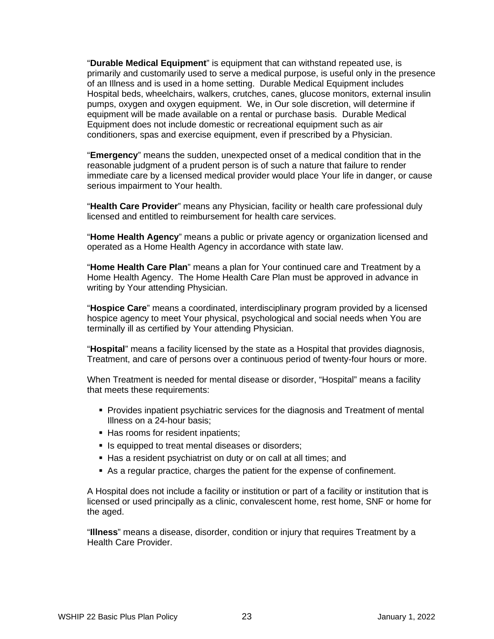"**Durable Medical Equipment**" is equipment that can withstand repeated use, is primarily and customarily used to serve a medical purpose, is useful only in the presence of an Illness and is used in a home setting. Durable Medical Equipment includes Hospital beds, wheelchairs, walkers, crutches, canes, glucose monitors, external insulin pumps, oxygen and oxygen equipment. We, in Our sole discretion, will determine if equipment will be made available on a rental or purchase basis. Durable Medical Equipment does not include domestic or recreational equipment such as air conditioners, spas and exercise equipment, even if prescribed by a Physician.

"**Emergency**" means the sudden, unexpected onset of a medical condition that in the reasonable judgment of a prudent person is of such a nature that failure to render immediate care by a licensed medical provider would place Your life in danger, or cause serious impairment to Your health.

"**Health Care Provider**" means any Physician, facility or health care professional duly licensed and entitled to reimbursement for health care services.

"**Home Health Agency**" means a public or private agency or organization licensed and operated as a Home Health Agency in accordance with state law.

"**Home Health Care Plan**" means a plan for Your continued care and Treatment by a Home Health Agency. The Home Health Care Plan must be approved in advance in writing by Your attending Physician.

"**Hospice Care**" means a coordinated, interdisciplinary program provided by a licensed hospice agency to meet Your physical, psychological and social needs when You are terminally ill as certified by Your attending Physician.

"**Hospital**" means a facility licensed by the state as a Hospital that provides diagnosis, Treatment, and care of persons over a continuous period of twenty-four hours or more.

When Treatment is needed for mental disease or disorder, "Hospital" means a facility that meets these requirements:

- **Provides inpatient psychiatric services for the diagnosis and Treatment of mental** Illness on a 24-hour basis;
- Has rooms for resident inpatients;
- **If** Is equipped to treat mental diseases or disorders;
- Has a resident psychiatrist on duty or on call at all times; and
- As a regular practice, charges the patient for the expense of confinement.

A Hospital does not include a facility or institution or part of a facility or institution that is licensed or used principally as a clinic, convalescent home, rest home, SNF or home for the aged.

"**Illness**" means a disease, disorder, condition or injury that requires Treatment by a Health Care Provider.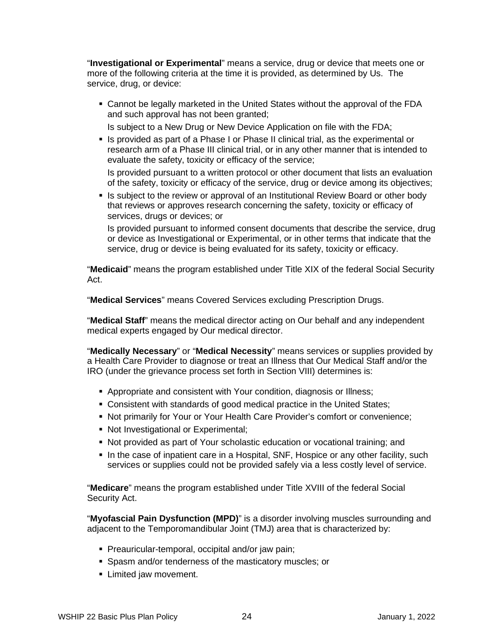"**Investigational or Experimental**" means a service, drug or device that meets one or more of the following criteria at the time it is provided, as determined by Us. The service, drug, or device:

 Cannot be legally marketed in the United States without the approval of the FDA and such approval has not been granted;

Is subject to a New Drug or New Device Application on file with the FDA;

- Is provided as part of a Phase I or Phase II clinical trial, as the experimental or research arm of a Phase III clinical trial, or in any other manner that is intended to evaluate the safety, toxicity or efficacy of the service; Is provided pursuant to a written protocol or other document that lists an evaluation of the safety, toxicity or efficacy of the service, drug or device among its objectives;
- Is subject to the review or approval of an Institutional Review Board or other body that reviews or approves research concerning the safety, toxicity or efficacy of services, drugs or devices; or

Is provided pursuant to informed consent documents that describe the service, drug or device as Investigational or Experimental, or in other terms that indicate that the service, drug or device is being evaluated for its safety, toxicity or efficacy.

"**Medicaid**" means the program established under Title XIX of the federal Social Security Act.

"**Medical Services**" means Covered Services excluding Prescription Drugs.

"**Medical Staff**" means the medical director acting on Our behalf and any independent medical experts engaged by Our medical director.

"**Medically Necessary**" or "**Medical Necessity**" means services or supplies provided by a Health Care Provider to diagnose or treat an Illness that Our Medical Staff and/or the IRO (under the grievance process set forth in Section VIII) determines is:

- Appropriate and consistent with Your condition, diagnosis or Illness;
- Consistent with standards of good medical practice in the United States;
- Not primarily for Your or Your Health Care Provider's comfort or convenience;
- Not Investigational or Experimental;
- Not provided as part of Your scholastic education or vocational training; and
- In the case of inpatient care in a Hospital, SNF, Hospice or any other facility, such services or supplies could not be provided safely via a less costly level of service.

"**Medicare**" means the program established under Title XVIII of the federal Social Security Act.

"**Myofascial Pain Dysfunction (MPD)**" is a disorder involving muscles surrounding and adjacent to the Temporomandibular Joint (TMJ) area that is characterized by:

- **Preauricular-temporal, occipital and/or jaw pain;**
- Spasm and/or tenderness of the masticatory muscles; or
- **E** Limited jaw movement.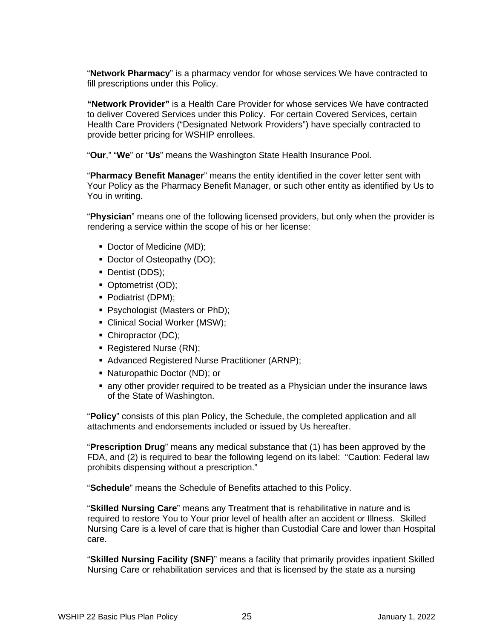"**Network Pharmacy**" is a pharmacy vendor for whose services We have contracted to fill prescriptions under this Policy.

**"Network Provider"** is a Health Care Provider for whose services We have contracted to deliver Covered Services under this Policy. For certain Covered Services, certain Health Care Providers ("Designated Network Providers") have specially contracted to provide better pricing for WSHIP enrollees.

"**Our**," "**We**" or "**Us**" means the Washington State Health Insurance Pool.

"**Pharmacy Benefit Manager**" means the entity identified in the cover letter sent with Your Policy as the Pharmacy Benefit Manager, or such other entity as identified by Us to You in writing.

"**Physician**" means one of the following licensed providers, but only when the provider is rendering a service within the scope of his or her license:

- Doctor of Medicine (MD);
- Doctor of Osteopathy (DO);
- Dentist (DDS);
- Optometrist (OD);
- Podiatrist (DPM);
- **Pasychologist (Masters or PhD);**
- Clinical Social Worker (MSW);
- Chiropractor (DC);
- Registered Nurse (RN);
- Advanced Registered Nurse Practitioner (ARNP);
- Naturopathic Doctor (ND); or
- any other provider required to be treated as a Physician under the insurance laws of the State of Washington.

"**Policy**" consists of this plan Policy, the Schedule, the completed application and all attachments and endorsements included or issued by Us hereafter.

"**Prescription Drug**" means any medical substance that (1) has been approved by the FDA, and (2) is required to bear the following legend on its label: "Caution: Federal law prohibits dispensing without a prescription."

"**Schedule**" means the Schedule of Benefits attached to this Policy.

"**Skilled Nursing Care**" means any Treatment that is rehabilitative in nature and is required to restore You to Your prior level of health after an accident or Illness. Skilled Nursing Care is a level of care that is higher than Custodial Care and lower than Hospital care.

"**Skilled Nursing Facility (SNF)**" means a facility that primarily provides inpatient Skilled Nursing Care or rehabilitation services and that is licensed by the state as a nursing